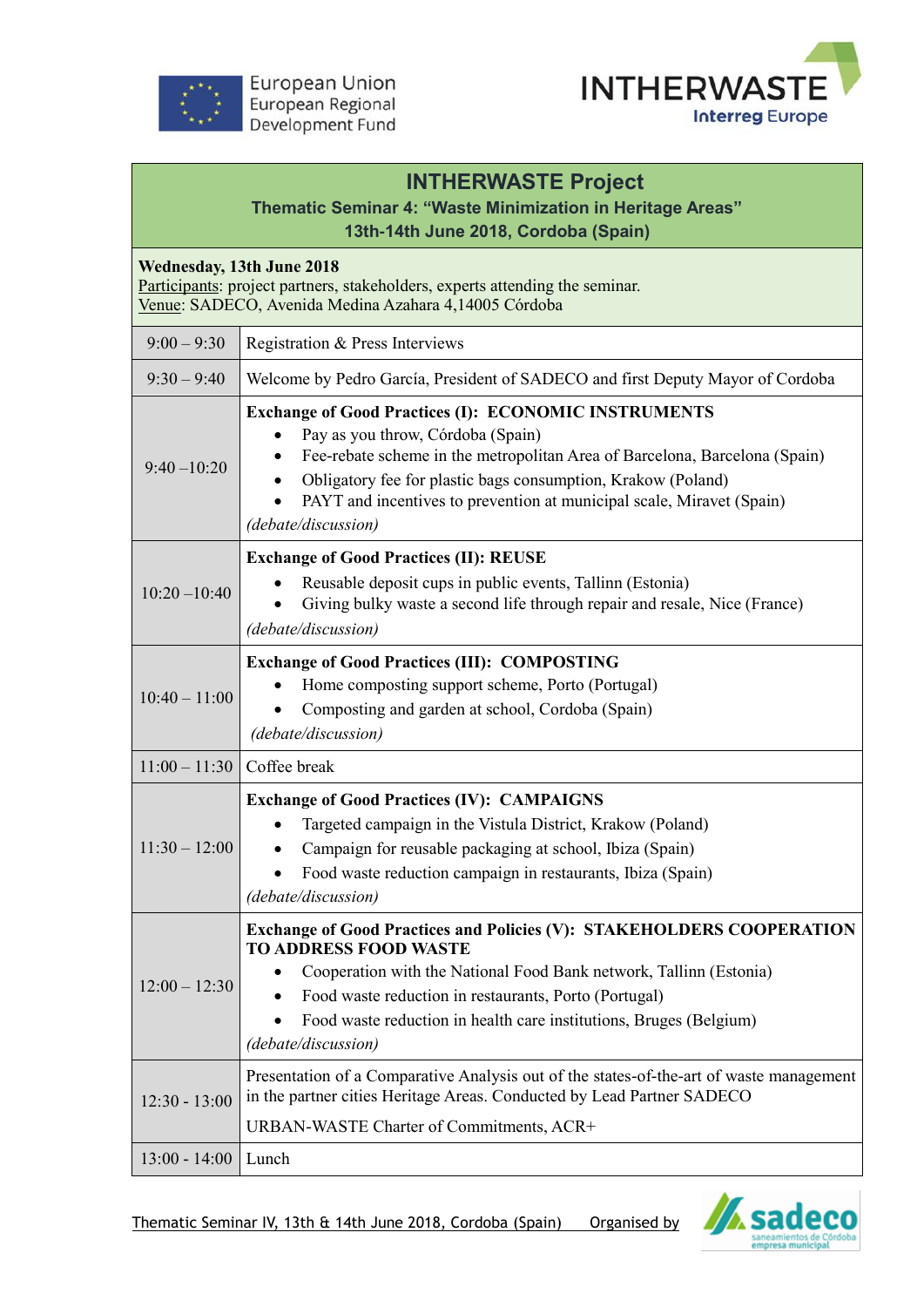



## **INTHERWASTE Project**

## **Thematic Seminar 4: "Waste Minimization in Heritage Areas" 13th-14th June 2018, Cordoba (Spain)**

**Wednesday, 13th June 2018**

Participants: project partners, stakeholders, experts attending the seminar. Venue: SADECO, Avenida Medina Azahara 4,14005 Córdoba

| $9:00 - 9:30$   | Registration & Press Interviews                                                                                                                                                                                                                                                                                                                |
|-----------------|------------------------------------------------------------------------------------------------------------------------------------------------------------------------------------------------------------------------------------------------------------------------------------------------------------------------------------------------|
| $9:30 - 9:40$   | Welcome by Pedro García, President of SADECO and first Deputy Mayor of Cordoba                                                                                                                                                                                                                                                                 |
|                 |                                                                                                                                                                                                                                                                                                                                                |
| $9:40 - 10:20$  | <b>Exchange of Good Practices (I): ECONOMIC INSTRUMENTS</b><br>Pay as you throw, Córdoba (Spain)<br>Fee-rebate scheme in the metropolitan Area of Barcelona, Barcelona (Spain)<br>Obligatory fee for plastic bags consumption, Krakow (Poland)<br>PAYT and incentives to prevention at municipal scale, Miravet (Spain)<br>(debate/discussion) |
|                 | <b>Exchange of Good Practices (II): REUSE</b>                                                                                                                                                                                                                                                                                                  |
| $10:20 - 10:40$ | Reusable deposit cups in public events, Tallinn (Estonia)<br>Giving bulky waste a second life through repair and resale, Nice (France)<br>(debate/discussion)                                                                                                                                                                                  |
| $10:40 - 11:00$ | <b>Exchange of Good Practices (III): COMPOSTING</b>                                                                                                                                                                                                                                                                                            |
|                 | Home composting support scheme, Porto (Portugal)<br>Composting and garden at school, Cordoba (Spain)                                                                                                                                                                                                                                           |
|                 | (debate/discussion)                                                                                                                                                                                                                                                                                                                            |
| $11:00 - 11:30$ | Coffee break                                                                                                                                                                                                                                                                                                                                   |
| $11:30 - 12:00$ | <b>Exchange of Good Practices (IV): CAMPAIGNS</b><br>Targeted campaign in the Vistula District, Krakow (Poland)<br>Campaign for reusable packaging at school, Ibiza (Spain)<br>٠<br>Food waste reduction campaign in restaurants, Ibiza (Spain)<br>(debate/discussion)                                                                         |
|                 | <b>Exchange of Good Practices and Policies (V): STAKEHOLDERS COOPERATION</b>                                                                                                                                                                                                                                                                   |
| $12:00 - 12:30$ | <b>TO ADDRESS FOOD WASTE</b><br>Cooperation with the National Food Bank network, Tallinn (Estonia)<br>Food waste reduction in restaurants, Porto (Portugal)<br>Food waste reduction in health care institutions, Bruges (Belgium)<br>(debate/discussion)                                                                                       |
| $12:30 - 13:00$ | Presentation of a Comparative Analysis out of the states-of-the-art of waste management<br>in the partner cities Heritage Areas. Conducted by Lead Partner SADECO                                                                                                                                                                              |
|                 | URBAN-WASTE Charter of Commitments, ACR+                                                                                                                                                                                                                                                                                                       |
| $13:00 - 14:00$ | Lunch                                                                                                                                                                                                                                                                                                                                          |